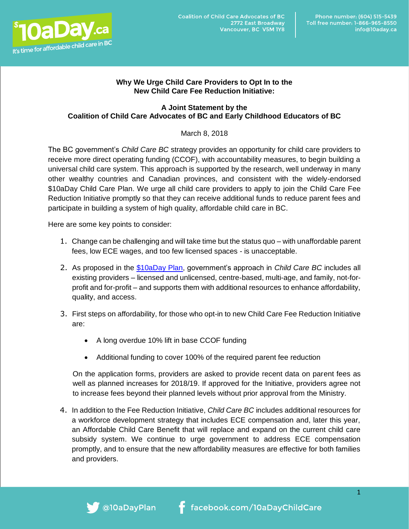

## **Why We Urge Child Care Providers to Opt In to the New Child Care Fee Reduction Initiative:**

## **A Joint Statement by the Coalition of Child Care Advocates of BC and Early Childhood Educators of BC**

## March 8, 2018

The BC government's *Child Care BC* strategy provides an opportunity for child care providers to receive more direct operating funding (CCOF), with accountability measures, to begin building a universal child care system. This approach is supported by the research, well underway in many other wealthy countries and Canadian provinces, and consistent with the widely-endorsed \$10aDay Child Care Plan. We urge all child care providers to apply to join the Child Care Fee Reduction Initiative promptly so that they can receive additional funds to reduce parent fees and participate in building a system of high quality, affordable child care in BC.

Here are some key points to consider:

- 1. Change can be challenging and will take time but the status quo with unaffordable parent fees, low ECE wages, and too few licensed spaces - is unacceptable.
- 2. As proposed in the [\\$10aDay Plan,](http://www.10aday.ca/) government's approach in *Child Care BC* includes all existing providers – licensed and unlicensed, centre-based, multi-age, and family, not-forprofit and for-profit – and supports them with additional resources to enhance affordability, quality, and access.
- 3. First steps on affordability, for those who opt-in to new Child Care Fee Reduction Initiative are:
	- A long overdue 10% lift in base CCOF funding
	- Additional funding to cover 100% of the required parent fee reduction

On the application forms, providers are asked to provide recent data on parent fees as well as planned increases for 2018/19. If approved for the Initiative, providers agree not to increase fees beyond their planned levels without prior approval from the Ministry.

4. In addition to the Fee Reduction Initiative, *Child Care BC* includes additional resources for a workforce development strategy that includes ECE compensation and, later this year, an Affordable Child Care Benefit that will replace and expand on the current child care subsidy system. We continue to urge government to address ECE compensation promptly, and to ensure that the new affordability measures are effective for both families and providers.